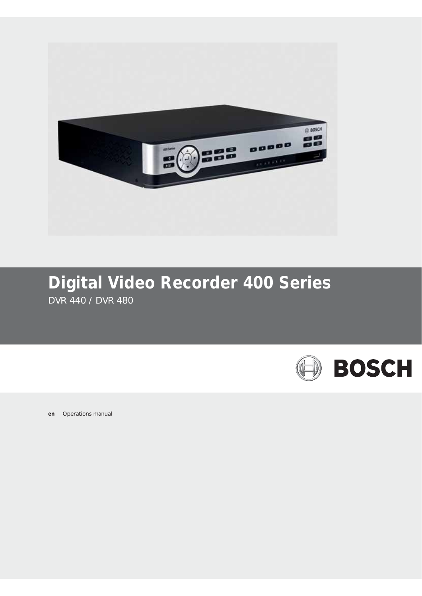

# **Digital Video Recorder 400 Series** DVR 440 / DVR 480

**BOSCH** 

**en** Operations manual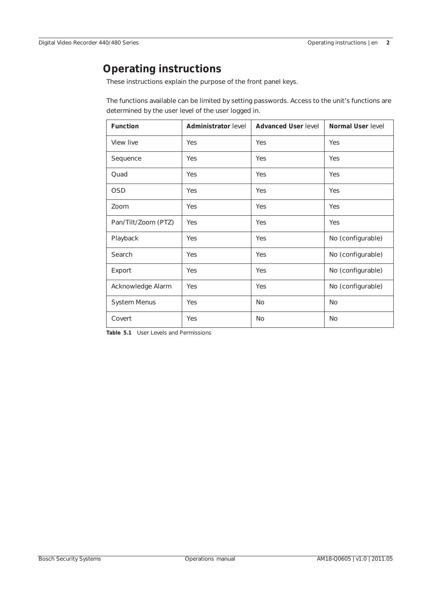# **Operating instructions**

These instructions explain the purpose of the front panel keys.

The functions available can be limited by setting passwords. Access to the unit's functions are determined by the user level of the user logged in.

| <b>Function</b>     | <b>Administrator level</b> | <b>Advanced User level</b> | Normal User level |
|---------------------|----------------------------|----------------------------|-------------------|
| View live           | Yes                        | Yes                        | Yes               |
| Sequence            | Yes                        | Yes                        | Yes               |
| Quad                | Yes                        | Yes                        | Yes               |
| <b>OSD</b>          | Yes                        | Yes                        | Yes               |
| Zoom                | Yes                        | Yes                        | Yes               |
| Pan/Tilt/Zoom (PTZ) | Yes                        | Yes                        | Yes               |
| Playback            | Yes                        | Yes                        | No (configurable) |
| Search              | Yes                        | Yes                        | No (configurable) |
| Export              | Yes                        | Yes                        | No (configurable) |
| Acknowledge Alarm   | Yes                        | Yes                        | No (configurable) |
| System Menus        | Yes                        | <b>No</b>                  | <b>No</b>         |
| Covert              | Yes                        | <b>No</b>                  | No                |

**Table 5.1** User Levels and Permissions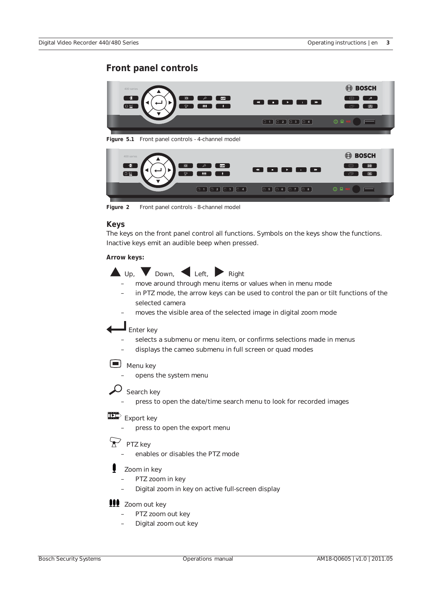# **Front panel controls**



**Figure 2** Front panel controls - 8-channel model

### **Keys**

The keys on the front panel control all functions. Symbols on the keys show the functions. Inactive keys emit an audible beep when pressed.

### **Arrow keys:**

 $\Box$  Up,  $\Box$  Down,  $\Box$  Left,  $\Box$  Right – move around through menu items or values when in menu mode

- in PTZ mode, the arrow keys can be used to control the pan or tilt functions of the selected camera
- moves the visible area of the selected image in digital zoom mode

# $\blacksquare$  Enter key

- selects a submenu or menu item, or confirms selections made in menus
- displays the cameo submenu in full screen or quad modes

# Menu key

- opens the system menu
- $\overline{\mathcal{L}}$  Search key
	- press to open the date/time search menu to look for recorded images

# $\mathbb{E}$  Export key

press to open the export menu

#### $\boldsymbol{\nabla}$ PTZ key

– enables or disables the PTZ mode

# Zoom in key

- PTZ zoom in key
- Digital zoom in key on active full-screen display

# **111** Zoom out key

- PTZ zoom out key
- Digital zoom out key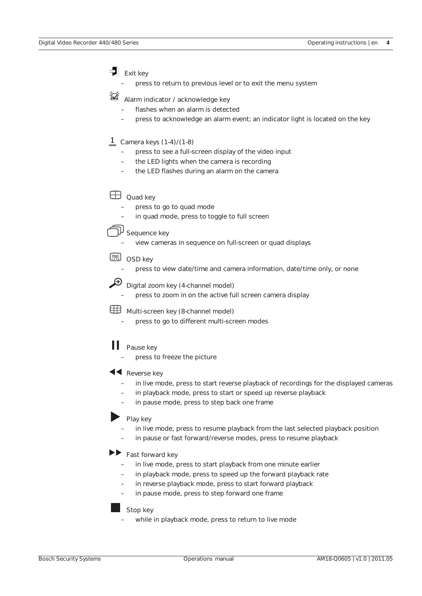Exit key

– press to return to previous level or to exit the menu system

洆 Alarm indicator / acknowledge key

- flashes when an alarm is detected
- press to acknowledge an alarm event; an indicator light is located on the key

# $\frac{1}{\sqrt{2}}$  Camera keys (1-4)/(1-8)

- press to see a full-screen display of the video input
- the LED lights when the camera is recording
- the LED flashes during an alarm on the camera

**Quad key** 

- press to go to quad mode
- in quad mode, press to toggle to full screen

 $\overline{\mathfrak{p}}$  Sequence key

– view cameras in sequence on full-screen or quad displays

# COSD key

- press to view date/time and camera information, date/time only, or none
- $\bigoplus$  Digital zoom key (4-channel model)
	- press to zoom in on the active full screen camera display

Multi-screen key (8-channel model)

press to go to different multi-screen modes

#### Ш Pause key

press to freeze the picture

# **K** Reverse key

- in live mode, press to start reverse playback of recordings for the displayed cameras
- in playback mode, press to start or speed up reverse playback
- in pause mode, press to step back one frame

# Play key

- in live mode, press to resume playback from the last selected playback position
- in pause or fast forward/reverse modes, press to resume playback

# Fast forward key

- in live mode, press to start playback from one minute earlier
- in playback mode, press to speed up the forward playback rate
- in reverse playback mode, press to start forward playback
- in pause mode, press to step forward one frame

# Stop key

while in playback mode, press to return to live mode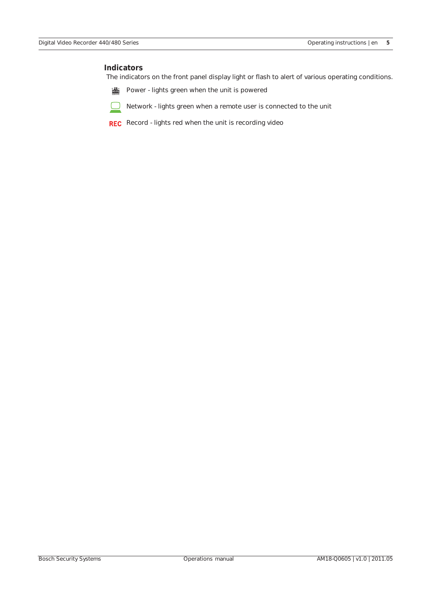## **Indicators**

The indicators on the front panel display light or flash to alert of various operating conditions.

畵 Power - lights green when the unit is powered



REC Record - lights red when the unit is recording video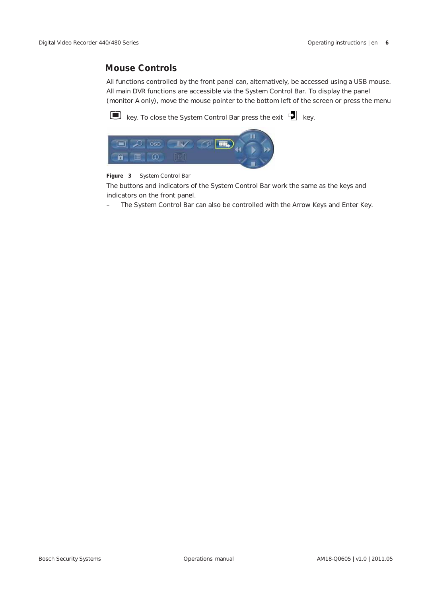# **Mouse Controls**

All functions controlled by the front panel can, alternatively, be accessed using a USB mouse. All main DVR functions are accessible via the System Control Bar. To display the panel (monitor A only), move the mouse pointer to the bottom left of the screen or press the menu

 $\Box$  key. To close the System Control Bar press the exit  $\Box$  key.



### **Figure 3** System Control Bar

The buttons and indicators of the System Control Bar work the same as the keys and indicators on the front panel.

The System Control Bar can also be controlled with the Arrow Keys and Enter Key.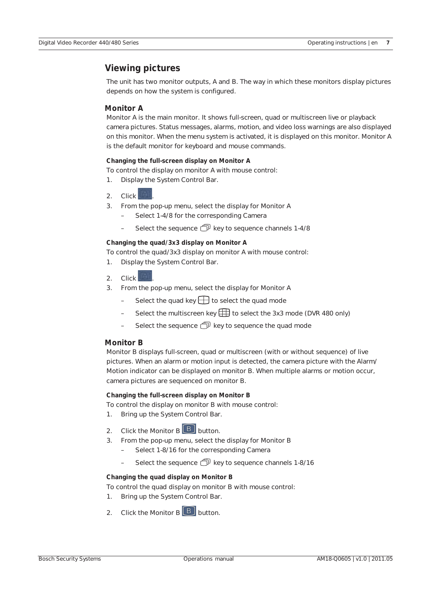# **Viewing pictures**

The unit has two monitor outputs, A and B. The way in which these monitors display pictures depends on how the system is configured.

# **Monitor A**

Monitor A is the main monitor. It shows full-screen, quad or multiscreen live or playback camera pictures. Status messages, alarms, motion, and video loss warnings are also displayed on this monitor. When the menu system is activated, it is displayed on this monitor. Monitor A is the default monitor for keyboard and mouse commands.

### **Changing the full-screen display on Monitor A**

To control the display on monitor A with mouse control:

- 1. Display the System Control Bar.
- 2. Click .
- 3. From the pop-up menu, select the display for Monitor A
	- Select 1-4/8 for the corresponding Camera
	- Select the sequence  $\widehat{\mathbb{D}}$  key to sequence channels 1-4/8

#### **Changing the quad/3x3 display on Monitor A**

To control the quad/3x3 display on monitor A with mouse control:

- 1. Display the System Control Bar.
- 2.  $Click$
- 3. From the pop-up menu, select the display for Monitor A
	- Select the quad key  $\Box$  to select the quad mode
	- Select the multiscreen key  $\boxplus$  to select the 3x3 mode (DVR 480 only)
	- Select the sequence  $\widehat{\mathbb{D}}^{\mathbb{I}}$  key to sequence the quad mode

### **Monitor B**

Monitor B displays full-screen, quad or multiscreen (with or without sequence) of live pictures. When an alarm or motion input is detected, the camera picture with the Alarm/ Motion indicator can be displayed on monitor B. When multiple alarms or motion occur, camera pictures are sequenced on monitor B.

### **Changing the full-screen display on Monitor B**

To control the display on monitor B with mouse control:

- 1. Bring up the System Control Bar.
- 2. Click the Monitor  $B \nvert B$  button.
- 3. From the pop-up menu, select the display for Monitor B
	- Select 1-8/16 for the corresponding Camera
	- Select the sequence  $\widehat{\mathbb{P}}$  key to sequence channels 1-8/16

### **Changing the quad display on Monitor B**

To control the quad display on monitor B with mouse control:

- 1. Bring up the System Control Bar.
- 2. Click the Monitor  $\overline{B}$   $\overline{B}$  button.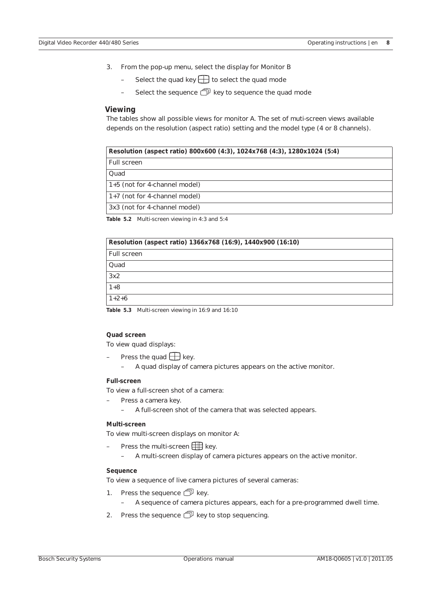- 3. From the pop-up menu, select the display for Monitor B
	- Select the quad key  $\Box$  to select the quad mode
	- Select the sequence  $\widehat{\mathbb{C}}^p$  key to sequence the quad mode

#### **Viewing**

The tables show all possible views for monitor A. The set of muti-screen views available depends on the resolution (aspect ratio) setting and the model type (4 or 8 channels).

| Resolution (aspect ratio) 800x600 (4:3), 1024x768 (4:3), 1280x1024 (5:4) |  |  |
|--------------------------------------------------------------------------|--|--|
| Full screen                                                              |  |  |
| Quad                                                                     |  |  |
| 1+5 (not for 4-channel model)                                            |  |  |
| 1+7 (not for 4-channel model)                                            |  |  |
| 3x3 (not for 4-channel model)                                            |  |  |

**Table 5.2** Multi-screen viewing in 4:3 and 5:4

| Resolution (aspect ratio) 1366x768 (16:9), 1440x900 (16:10) |
|-------------------------------------------------------------|
| Full screen                                                 |
| Quad                                                        |
| 3x2                                                         |
| $1+8$                                                       |
| $1+2+6$                                                     |

**Table 5.3** Multi-screen viewing in 16:9 and 16:10

#### **Quad screen**

To view quad displays:

- Press the quad  $\Box$  key.
	- A quad display of camera pictures appears on the active monitor.

#### **Full-screen**

To view a full-screen shot of a camera:

- Press a camera key.
	- A full-screen shot of the camera that was selected appears.

### **Multi-screen**

To view multi-screen displays on monitor A:

- Press the multi-screen  $\Box$  key.
	- A multi-screen display of camera pictures appears on the active monitor.

### **Sequence**

To view a sequence of live camera pictures of several cameras:

- 1. Press the sequence  $\widehat{\mathbb{P}}$  key.
	- A sequence of camera pictures appears, each for a pre-programmed dwell time.
- 2. Press the sequence  $\widehat{\mathbb{D}}$  key to stop sequencing.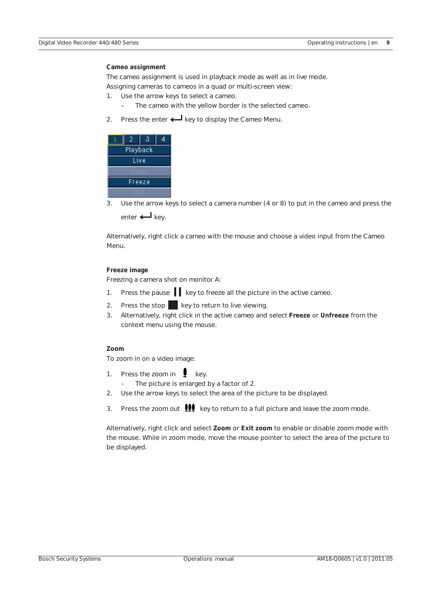### **Cameo assignment**

The cameo assignment is used in playback mode as well as in live mode. Assigning cameras to cameos in a quad or multi-screen view:

- 1. Use the arrow keys to select a cameo.
	- The cameo with the yellow border is the selected cameo.
- 2. Press the enter  $\leftarrow$  key to display the Cameo Menu.

|          |  | З |  |
|----------|--|---|--|
| Playback |  |   |  |
| Live     |  |   |  |
| 'oon     |  |   |  |
| Freeze   |  |   |  |
|          |  |   |  |

3. Use the arrow keys to select a camera number (4 or 8) to put in the cameo and press the enter  $\leftarrow$  key.

Alternatively, right click a cameo with the mouse and choose a video input from the Cameo Menu.

### **Freeze image**

Freezing a camera shot on monitor A:

- 1. Press the pause  $\|\cdot\|$  key to freeze all the picture in the active cameo.
- 2. Press the stop  $\blacksquare$  key to return to live viewing.
- 3. Alternatively, right click in the active cameo and select **Freeze** or **Unfreeze** from the context menu using the mouse.

# **Zoom**

To zoom in on a video image:

- 1. Press the zoom in  $\Box$  key. – The picture is enlarged by a factor of 2.
- 2. Use the arrow keys to select the area of the picture to be displayed.
- 3. Press the zoom out  $\mathbf{H}$  key to return to a full picture and leave the zoom mode.

Alternatively, right click and select **Zoom** or **Exit zoom** to enable or disable zoom mode with the mouse. While in zoom mode, move the mouse pointer to select the area of the picture to be displayed.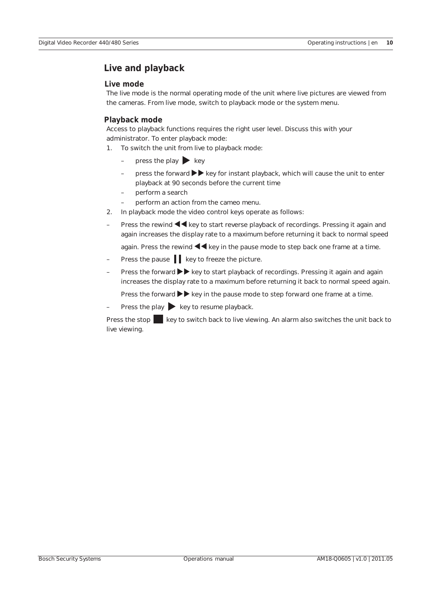# **Live and playback**

# **Live mode**

The live mode is the normal operating mode of the unit where live pictures are viewed from the cameras. From live mode, switch to playback mode or the system menu.

# **Playback mode**

Access to playback functions requires the right user level. Discuss this with your administrator. To enter playback mode:

- 1. To switch the unit from live to playback mode:
	- $\overline{\phantom{a}}$  press the play  $\overline{\phantom{a}}$  key
	- press the forward  $\blacktriangleright$  key for instant playback, which will cause the unit to enter playback at 90 seconds before the current time
	- perform a search
	- perform an action from the cameo menu.
- 2. In playback mode the video control keys operate as follows:
- Press the rewind  $\blacktriangleleft$  key to start reverse playback of recordings. Pressing it again and again increases the display rate to a maximum before returning it back to normal speed

again. Press the rewind  $\blacktriangleleft$  key in the pause mode to step back one frame at a time.

- Press the pause  $\|\cdot\|$  key to freeze the picture.
- Press the forward  $\blacktriangleright$  key to start playback of recordings. Pressing it again and again increases the display rate to a maximum before returning it back to normal speed again.

Press the forward  $\blacktriangleright$  key in the pause mode to step forward one frame at a time.

Press the play  $\blacktriangleright$  key to resume playback.

Press the stop key to switch back to live viewing. An alarm also switches the unit back to live viewing.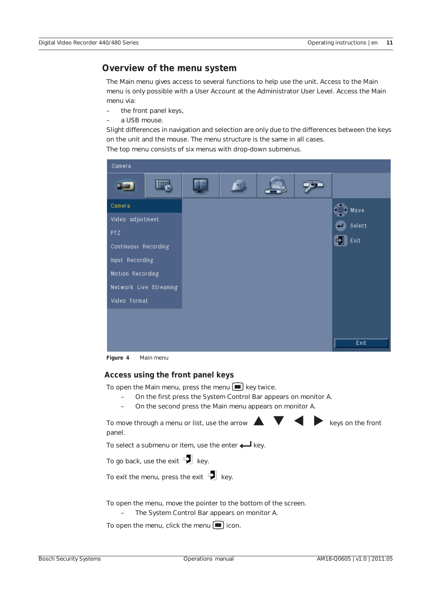# **Overview of the menu system**

The Main menu gives access to several functions to help use the unit. Access to the Main menu is only possible with a User Account at the Administrator User Level. Access the Main menu via:

- the front panel keys,
- a USB mouse.

Slight differences in navigation and selection are only due to the differences between the keys on the unit and the mouse. The menu structure is the same in all cases.

The top menu consists of six menus with drop-down submenus.



**Figure 4** Main menu

# **Access using the front panel keys**

To open the Main menu, press the menu  $\blacksquare$  key twice.

- On the first press the System Control Bar appears on monitor A.
- On the second press the Main menu appears on monitor A.

To move through a menu or list, use the arrow  $\triangle$   $\blacktriangledown$   $\blacktriangle$  keys on the front panel. To select a submenu or item, use the enter  $\leftarrow$  key. To go back, use the exit  $\Box$  key. To exit the menu, press the exit  $\mathbf{Z}$  key. To open the menu, move the pointer to the bottom of the screen. – The System Control Bar appears on monitor A. To open the menu, click the menu  $\Box$  icon.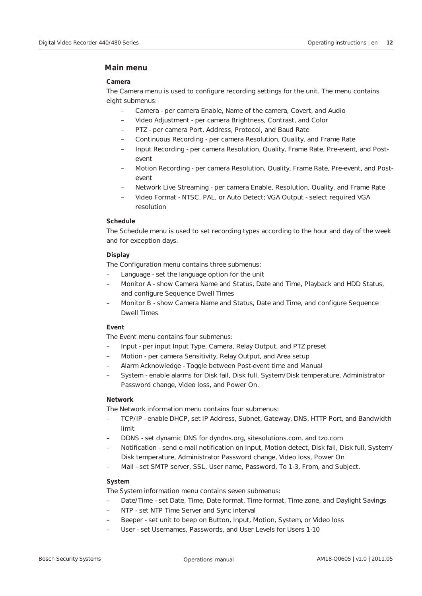# **Main menu**

### **Camera**

The Camera menu is used to configure recording settings for the unit. The menu contains eight submenus:

- Camera per camera Enable, Name of the camera, Covert, and Audio
- Video Adjustment per camera Brightness, Contrast, and Color
- PTZ per camera Port, Address, Protocol, and Baud Rate
- Continuous Recording per camera Resolution, Quality, and Frame Rate
- Input Recording per camera Resolution, Quality, Frame Rate, Pre-event, and Postevent
- Motion Recording per camera Resolution, Quality, Frame Rate, Pre-event, and Postevent
- Network Live Streaming per camera Enable, Resolution, Quality, and Frame Rate
- Video Format NTSC, PAL, or Auto Detect; VGA Output select required VGA resolution

### **Schedule**

The Schedule menu is used to set recording types according to the hour and day of the week and for exception days.

### **Display**

The Configuration menu contains three submenus:

- Language set the language option for the unit
- Monitor A show Camera Name and Status, Date and Time, Playback and HDD Status, and configure Sequence Dwell Times
- Monitor B show Camera Name and Status, Date and Time, and configure Sequence Dwell Times

# **Event**

The Event menu contains four submenus:

- Input per input Input Type, Camera, Relay Output, and PTZ preset
- Motion per camera Sensitivity, Relay Output, and Area setup
- Alarm Acknowledge Toggle between Post-event time and Manual
- System enable alarms for Disk fail, Disk full, System/Disk temperature, Administrator Password change, Video loss, and Power On.

# **Network**

The Network information menu contains four submenus:

- TCP/IP enable DHCP, set IP Address, Subnet, Gateway, DNS, HTTP Port, and Bandwidth limit
- DDNS set dynamic DNS for dyndns.org, sitesolutions.com, and tzo.com
- Notification send e-mail notification on Input, Motion detect, Disk fail, Disk full, System/ Disk temperature, Administrator Password change, Video loss, Power On
- Mail set SMTP server, SSL, User name, Password, To 1-3, From, and Subject.

### **System**

The System information menu contains seven submenus:

- Date/Time set Date, Time, Date format, Time format, Time zone, and Daylight Savings
- NTP set NTP Time Server and Sync interval
- Beeper set unit to beep on Button, Input, Motion, System, or Video loss
- User set Usernames, Passwords, and User Levels for Users 1-10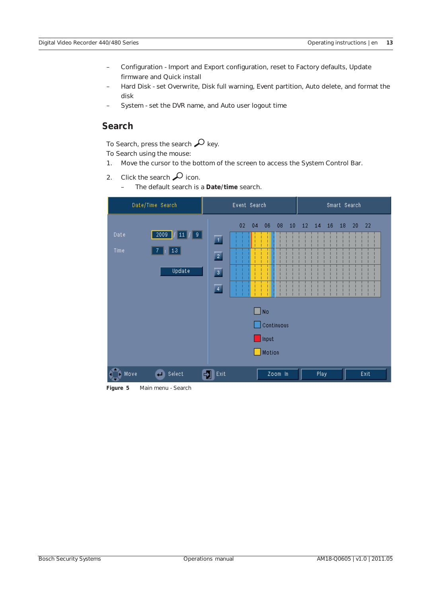- Configuration Import and Export configuration, reset to Factory defaults, Update firmware and Quick install
- Hard Disk set Overwrite, Disk full warning, Event partition, Auto delete, and format the disk
- System set the DVR name, and Auto user logout time

# **Search**

To Search, press the search  $\mathcal{L}$  key.

To Search using the mouse:

- 1. Move the cursor to the bottom of the screen to access the System Control Bar.
- 2. Click the search  $\mathcal{D}$  icon.
	- The default search is a **Date/time** search.



**Figure 5** Main menu - Search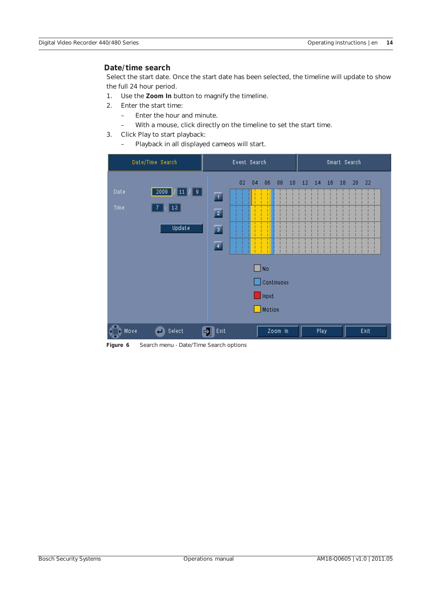# **Date/time search**

Select the start date. Once the start date has been selected, the timeline will update to show the full 24 hour period.

- 1. Use the **Zoom In** button to magnify the timeline.
- 2. Enter the start time:
	- Enter the hour and minute.
	- With a mouse, click directly on the timeline to set the start time.
- 3. Click Play to start playback:
	- Playback in all displayed cameos will start.

| Date/Time Search                                                           | Event Search                                                                                                                                                       | Smart Search                                               |
|----------------------------------------------------------------------------|--------------------------------------------------------------------------------------------------------------------------------------------------------------------|------------------------------------------------------------|
| $\sqrt{2009}$<br>Date<br>$11 \mid 9 \mid$<br>$13\,$<br>Time<br>7<br>Update | 02<br>04<br>$06\,$<br>08<br>$10\,$<br>$\overline{1}$<br>$\boxed{2}$<br>$\overline{\mathbf{3}}$<br>$\overline{4}$<br>$\square$ No.<br>Continuous<br>Input<br>Motion | 12 <sub>1</sub><br>$14$ 16<br>18 <sup>°</sup><br>$20 - 22$ |
| Select<br>Move                                                             | Exit<br>Zoom In<br>-21                                                                                                                                             | Play<br>Exit                                               |

**Figure 6** Search menu - Date/Time Search options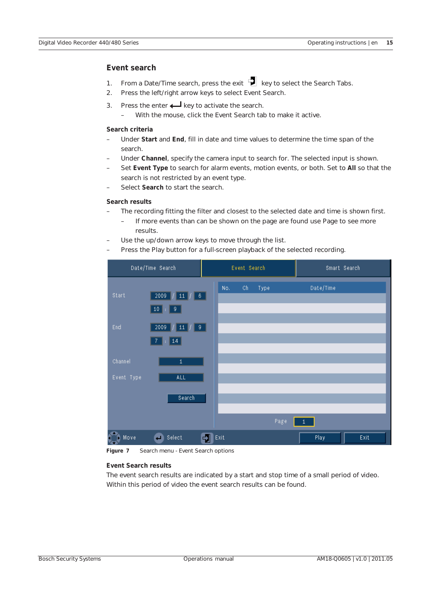# **Event search**

- 1. From a Date/Time search, press the exit  $\mathbb{E}$  key to select the Search Tabs.
- 2. Press the left/right arrow keys to select Event Search.
- 3. Press the enter  $\leftarrow$  key to activate the search.
	- With the mouse, click the Event Search tab to make it active.

### **Search criteria**

- Under **Start** and **End**, fill in date and time values to determine the time span of the search.
- Under **Channel**, specify the camera input to search for. The selected input is shown.
- Set **Event Type** to search for alarm events, motion events, or both. Set to **All** so that the search is not restricted by an event type.
- Select **Search** to start the search.

### **Search results**

- The recording fitting the filter and closest to the selected date and time is shown first.
	- If more events than can be shown on the page are found use Page to see more results.
- Use the up/down arrow keys to move through the list.
- Press the Play button for a full-screen playback of the selected recording.



**Figure 7** Search menu - Event Search options

### **Event Search results**

The event search results are indicated by a start and stop time of a small period of video. Within this period of video the event search results can be found.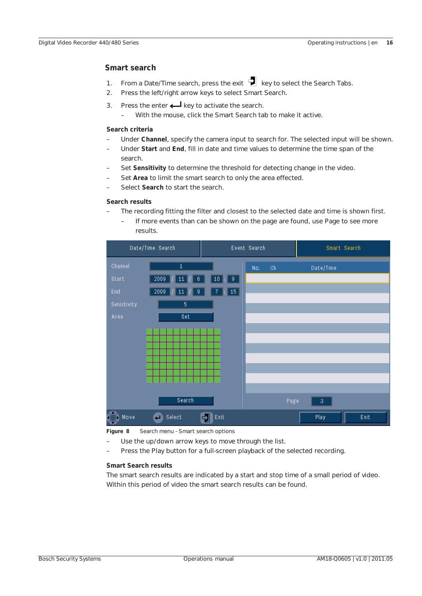# **Smart search**

- 1. From a Date/Time search, press the exit  $\mathbb{E}$  key to select the Search Tabs.
- 2. Press the left/right arrow keys to select Smart Search.
- 3. Press the enter  $\leftarrow$  key to activate the search.
	- With the mouse, click the Smart Search tab to make it active.

#### **Search criteria**

- Under **Channel**, specify the camera input to search for. The selected input will be shown.
- Under **Start** and **End**, fill in date and time values to determine the time span of the search.
- Set **Sensitivity** to determine the threshold for detecting change in the video.
- Set **Area** to limit the smart search to only the area effected.
- Select **Search** to start the search.

#### **Search results**

- The recording fitting the filter and closest to the selected date and time is shown first.
	- If more events than can be shown on the page are found, use Page to see more results.



**Figure 8** Search menu - Smart search options

- Use the up/down arrow keys to move through the list.
- Press the Play button for a full-screen playback of the selected recording.

# **Smart Search results**

The smart search results are indicated by a start and stop time of a small period of video. Within this period of video the smart search results can be found.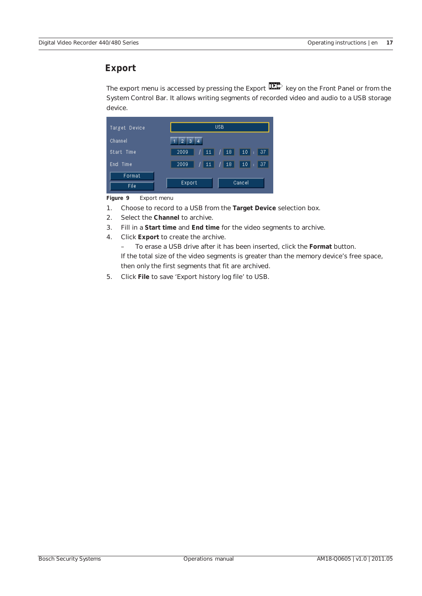# **Export**

The export menu is accessed by pressing the Export **THE** key on the Front Panel or from the System Control Bar. It allows writing segments of recorded video and audio to a USB storage device.



**Figure 9** Export menu

- 1. Choose to record to a USB from the **Target Device** selection box.
- 2. Select the **Channel** to archive.
- 3. Fill in a **Start time** and **End time** for the video segments to archive.
- 4. Click **Export** to create the archive.

– To erase a USB drive after it has been inserted, click the **Format** button. If the total size of the video segments is greater than the memory device's free space, then only the first segments that fit are archived.

5. Click **File** to save 'Export history log file' to USB.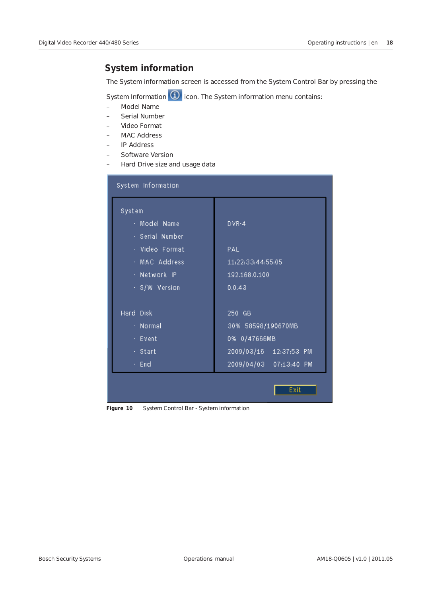# **System information**

The System information screen is accessed from the System Control Bar by pressing the

System Information  $\bigcirc$  icon. The System information menu contains:

- Model Name
- Serial Number
- Video Format
- MAC Address
- IP Address
- Software Version
- Hard Drive size and usage data

| DVR-4                  |
|------------------------|
|                        |
| PAL                    |
| 11:22:33:44:55:05      |
| 192.168.0.100          |
| 0.0.43                 |
| 250 GB                 |
| 30% 58598/190670MB     |
| 0% 0/47666MB           |
| 2009/03/16 12:37:53 PM |
| 2009/04/03 07:13:40 PM |
| Exit                   |
|                        |

**Figure 10** System Control Bar - System information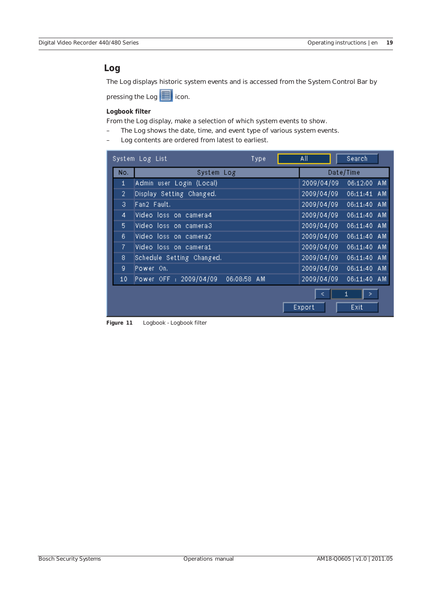# **Log**

The Log displays historic system events and is accessed from the System Control Bar by

pressing the Log **if** icon.

## **Logbook filter**

From the Log display, make a selection of which system events to show.

- The Log shows the date, time, and event type of various system events.
- Log contents are ordered from latest to earliest.

|     | System Log List<br>Type               | All<br>Search             |  |
|-----|---------------------------------------|---------------------------|--|
| No. | System Log                            | Date/Time                 |  |
| 1   | Admin user Login (Local)              | 2009/04/09<br>06:12:00 AM |  |
| 2   | Display Setting Changed.              | 2009/04/09<br>06:11:41 AM |  |
| 3.  | Fan2 Fault.                           | 2009/04/09<br>06:11:40 AM |  |
| 4   | Video loss on camera4                 | 2009/04/09<br>06:11:40 AM |  |
| 5   | Video loss on camera3                 | 2009/04/09<br>06:11:40 AM |  |
| 6.  | Video loss on camera2                 | 2009/04/09<br>06:11:40 AM |  |
| 7.  | Video loss on camerai                 | 2009/04/09<br>06:11:40 AM |  |
| 8   | Schedule Setting Changed.             | 2009/04/09<br>06:11:40 AM |  |
| 9   | Power On.                             | 2009/04/09<br>06:11:40 AM |  |
| 10  | Power OFF : 2009/04/09<br>06:08:58 AM | 2009/04/09<br>06:11:40 AM |  |
|     |                                       | 1<br>><br>Export<br>Exit  |  |

**Figure 11** Logbook - Logbook filter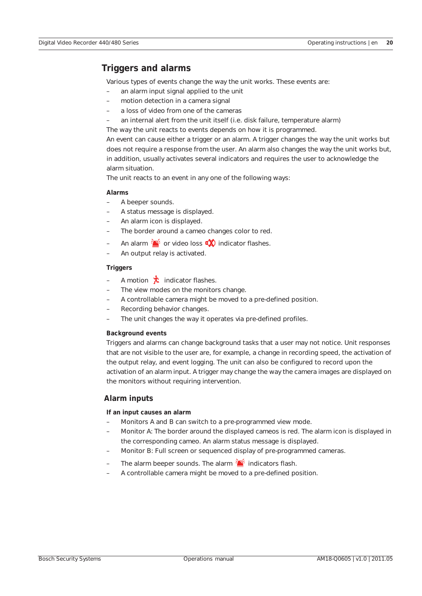# **Triggers and alarms**

Various types of events change the way the unit works. These events are:

- an alarm input signal applied to the unit
- motion detection in a camera signal
- a loss of video from one of the cameras
- an internal alert from the unit itself (i.e. disk failure, temperature alarm)

The way the unit reacts to events depends on how it is programmed.

An event can cause either a trigger or an alarm. A trigger changes the way the unit works but does not require a response from the user. An alarm also changes the way the unit works but, in addition, usually activates several indicators and requires the user to acknowledge the alarm situation.

The unit reacts to an event in any one of the following ways:

### **Alarms**

- A beeper sounds.
- A status message is displayed.
- An alarm icon is displayed.
- The border around a cameo changes color to red.
- An alarm  $\sum_{i=1}^{n}$  or video loss  $\sum_{i=1}^{n}$  indicator flashes.
- An output relay is activated.

### **Triggers**

- A motion  $\mathbf{\dot{\chi}}$  indicator flashes.
- The view modes on the monitors change.
- A controllable camera might be moved to a pre-defined position.
- Recording behavior changes.
- The unit changes the way it operates via pre-defined profiles.

### **Background events**

Triggers and alarms can change background tasks that a user may not notice. Unit responses that are not visible to the user are, for example, a change in recording speed, the activation of the output relay, and event logging. The unit can also be configured to record upon the activation of an alarm input. A trigger may change the way the camera images are displayed on the monitors without requiring intervention.

# **Alarm inputs**

### **If an input causes an alarm**

- Monitors A and B can switch to a pre-programmed view mode.
- Monitor A: The border around the displayed cameos is red. The alarm icon is displayed in the corresponding cameo. An alarm status message is displayed.
- Monitor B: Full screen or sequenced display of pre-programmed cameras.
- The alarm beeper sounds. The alarm  $\sum_{i=1}^{n}$  indicators flash.
- A controllable camera might be moved to a pre-defined position.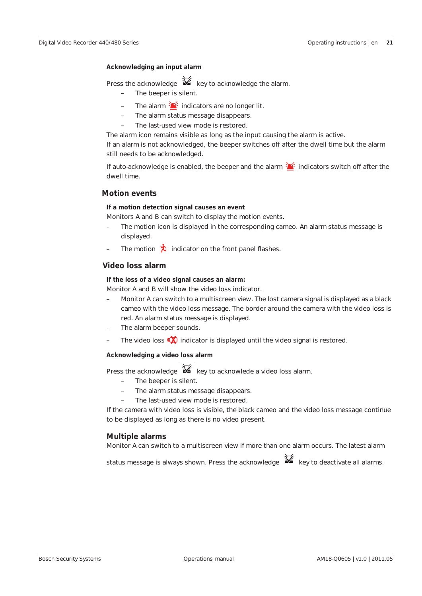### **Acknowledging an input alarm**

Press the acknowledge  $\mathbb{X}$  key to acknowledge the alarm.

- The beeper is silent.
- The alarm  $\sum_{i=1}^{n}$  indicators are no longer lit.
- The alarm status message disappears.
- The last-used view mode is restored.

The alarm icon remains visible as long as the input causing the alarm is active. If an alarm is not acknowledged, the beeper switches off after the dwell time but the alarm still needs to be acknowledged.

If auto-acknowledge is enabled, the beeper and the alarm  $\frac{1}{2}$  indicators switch off after the dwell time.

### **Motion events**

#### **If a motion detection signal causes an event**

Monitors A and B can switch to display the motion events.

- The motion icon is displayed in the corresponding cameo. An alarm status message is displayed.
- The motion  $\lambda$  indicator on the front panel flashes.

# **Video loss alarm**

### **If the loss of a video signal causes an alarm:**

Monitor A and B will show the video loss indicator.

- Monitor A can switch to a multiscreen view. The lost camera signal is displayed as a black cameo with the video loss message. The border around the camera with the video loss is red. An alarm status message is displayed.
- The alarm beeper sounds.
- The video loss  $\overrightarrow{A}$  indicator is displayed until the video signal is restored.

#### **Acknowledging a video loss alarm**

Press the acknowledge  $\mathbb{X}$  key to acknowlede a video loss alarm.

- The beeper is silent.
- The alarm status message disappears.
- The last-used view mode is restored.

If the camera with video loss is visible, the black cameo and the video loss message continue to be displayed as long as there is no video present.

### **Multiple alarms**

Monitor A can switch to a multiscreen view if more than one alarm occurs. The latest alarm

status message is always shown. Press the acknowledge  $\mathbb{X}$  key to deactivate all alarms.